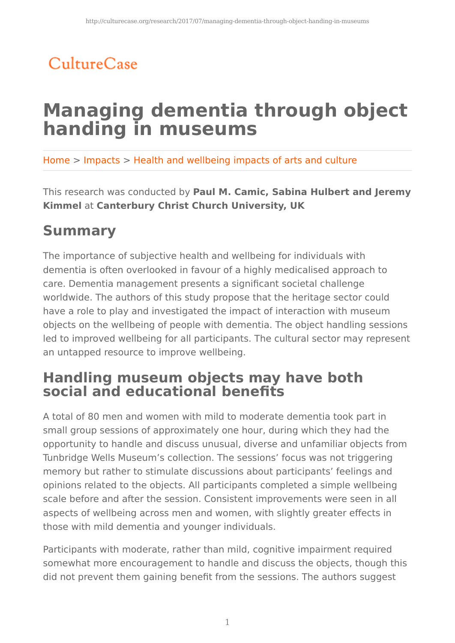## CultureCase

# **Managing dementia through object handing in museums**

Home > Impacts > Health and wellbeing impacts of arts and culture

This research was conducted by **Paul M. Camic, Sabina Hulbert and Jeremy Kimmel** at **Canterbury Christ Church University, UK**

## **Summary**

The importance of subjective health and wellbeing for individuals with dementia is often overlooked in favour of a highly medicalised approach to care. Dementia management presents a significant societal challenge worldwide. The authors of this study propose that the heritage sector could have a role to play and investigated the impact of interaction with museum objects on the wellbeing of people with dementia. The object handling sessions led to improved wellbeing for all participants. The cultural sector may represent an untapped resource to improve wellbeing.

## **Handling museum objects may have both social and educational benefits**

A total of 80 men and women with mild to moderate dementia took part in small group sessions of approximately one hour, during which they had the opportunity to handle and discuss unusual, diverse and unfamiliar objects from Tunbridge Wells Museum's collection. The sessions' focus was not triggering memory but rather to stimulate discussions about participants' feelings and opinions related to the objects. All participants completed a simple wellbeing scale before and after the session. Consistent improvements were seen in all aspects of wellbeing across men and women, with slightly greater effects in those with mild dementia and younger individuals.

Participants with moderate, rather than mild, cognitive impairment required somewhat more encouragement to handle and discuss the objects, though this did not prevent them gaining benefit from the sessions. The authors suggest